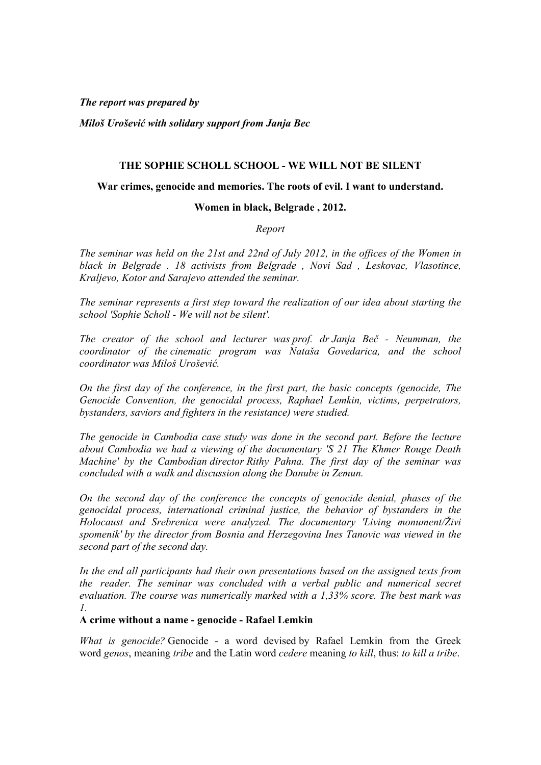*The report was prepared by* 

*Miloš Urošević with solidary support from Janja Bec*

### **THE SOPHIE SCHOLL SCHOOL - WE WILL NOT BE SILENT**

#### **War crimes, genocide and memories. The roots of evil. I want to understand.**

#### **Women in black, Belgrade , 2012.**

*Report*

*The seminar was held on the 21st and 22nd of July 2012, in the offices of the Women in black in Belgrade . 18 activists from Belgrade , Novi Sad , Leskovac, Vlasotince, Kraljevo, Kotor and Sarajevo attended the seminar.*

*The seminar represents a first step toward the realization of our idea about starting the school 'Sophie Scholl - We will not be silent'.*

*The creator of the school and lecturer was prof. dr Janja Beč - Neumman, the coordinator of the cinematic program was Nataša Govedarica, and the school coordinator was Miloš Urošević.*

*On the first day of the conference, in the first part, the basic concepts (genocide, The Genocide Convention, the genocidal process, Raphael Lemkin, victims, perpetrators, bystanders, saviors and fighters in the resistance) were studied.*

*The genocide in Cambodia case study was done in the second part. Before the lecture about Cambodia we had a viewing of the documentary 'S 21 The Khmer Rouge Death Machine' by the Cambodian director Rithy Pahna. The first day of the seminar was concluded with a walk and discussion along the Danube in Zemun.*

*On the second day of the conference the concepts of genocide denial, phases of the genocidal process, international criminal justice, the behavior of bystanders in the Holocaust and Srebrenica were analyzed. The documentary 'Living monument/Živi spomenik' by the director from Bosnia and Herzegovina Ines Tanovic was viewed in the second part of the second day.*

*In the end all participants had their own presentations based on the assigned texts from the reader. The seminar was concluded with a verbal public and numerical secret evaluation. The course was numerically marked with a 1,33% score. The best mark was 1.* 

#### **A crime without a name - genocide - Rafael Lemkin**

*What is genocide?* Genocide - a word devised by Rafael Lemkin from the Greek word *genos*, meaning *tribe* and the Latin word *cedere* meaning *to kill*, thus: *to kill a tribe*.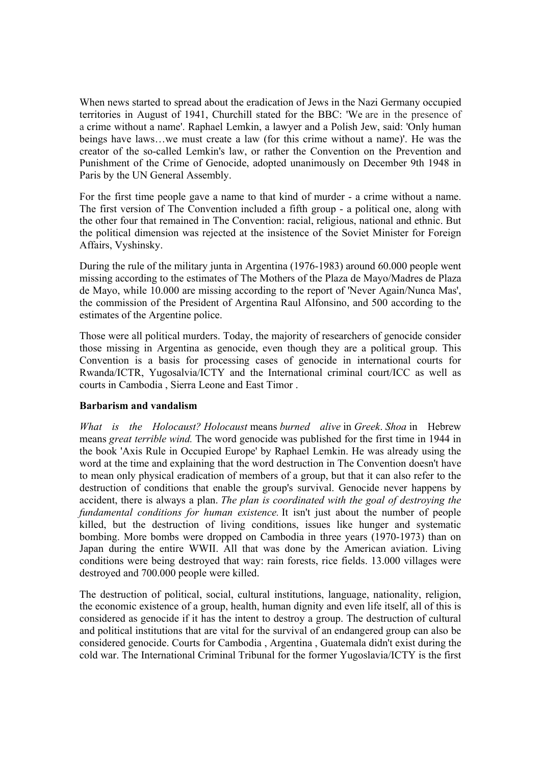When news started to spread about the eradication of Jews in the Nazi Germany occupied territories in August of 1941, Churchill stated for the BBC: 'We are in the presence of a crime without a name'. Raphael Lemkin, a lawyer and a Polish Jew, said: 'Only human beings have laws…we must create a law (for this crime without a name)'. He was the creator of the so-called Lemkin's law, or rather the Convention on the Prevention and Punishment of the Crime of Genocide, adopted unanimously on December 9th 1948 in Paris by the UN General Assembly.

For the first time people gave a name to that kind of murder - a crime without a name. The first version of The Convention included a fifth group - a political one, along with the other four that remained in The Convention: racial, religious, national and ethnic. But the political dimension was rejected at the insistence of the Soviet Minister for Foreign Affairs, Vyshinsky.

During the rule of the military junta in Argentina (1976-1983) around 60.000 people went missing according to the estimates of The Mothers of the Plaza de Mayo/Madres de Plaza de Mayo, while 10.000 are missing according to the report of 'Never Again/Nunca Mas', the commission of the President of Argentina Raul Alfonsino, and 500 according to the estimates of the Argentine police.

Those were all political murders. Today, the majority of researchers of genocide consider those missing in Argentina as genocide, even though they are a political group. This Convention is a basis for processing cases of genocide in international courts for Rwanda/ICTR, Yugosalvia/ICTY and the International criminal court/ICC as well as courts in Cambodia , Sierra Leone and East Timor .

## **Barbarism and vandalism**

*What is the Holocaust? Holocaust* means *burned alive* in *Greek*. *Shoa* in Hebrew means *great terrible wind.* The word genocide was published for the first time in 1944 in the book 'Axis Rule in Occupied Europe' by Raphael Lemkin. He was already using the word at the time and explaining that the word destruction in The Convention doesn't have to mean only physical eradication of members of a group, but that it can also refer to the destruction of conditions that enable the group's survival. Genocide never happens by accident, there is always a plan. *The plan is coordinated with the goal of destroying the fundamental conditions for human existence.* It isn't just about the number of people killed, but the destruction of living conditions, issues like hunger and systematic bombing. More bombs were dropped on Cambodia in three years (1970-1973) than on Japan during the entire WWII. All that was done by the American aviation. Living conditions were being destroyed that way: rain forests, rice fields. 13.000 villages were destroyed and 700.000 people were killed.

The destruction of political, social, cultural institutions, language, nationality, religion, the economic existence of a group, health, human dignity and even life itself, all of this is considered as genocide if it has the intent to destroy a group. The destruction of cultural and political institutions that are vital for the survival of an endangered group can also be considered genocide. Courts for Cambodia , Argentina , Guatemala didn't exist during the cold war. The International Criminal Tribunal for the former Yugoslavia/ICTY is the first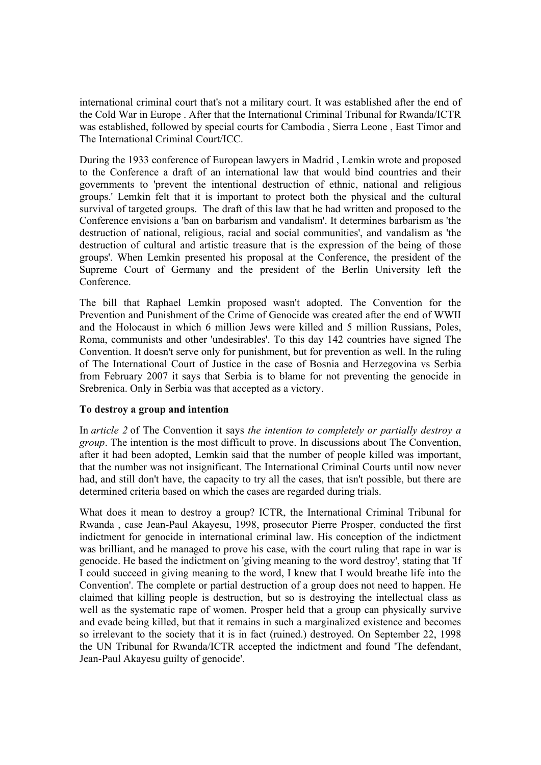international criminal court that's not a military court. It was established after the end of the Cold War in Europe . After that the International Criminal Tribunal for Rwanda/ICTR was established, followed by special courts for Cambodia , Sierra Leone , East Timor and The International Criminal Court/ICC.

During the 1933 conference of European lawyers in Madrid , Lemkin wrote and proposed to the Conference a draft of an international law that would bind countries and their governments to 'prevent the intentional destruction of ethnic, national and religious groups.' Lemkin felt that it is important to protect both the physical and the cultural survival of targeted groups. The draft of this law that he had written and proposed to the Conference envisions a 'ban on barbarism and vandalism'. It determines barbarism as 'the destruction of national, religious, racial and social communities', and vandalism as 'the destruction of cultural and artistic treasure that is the expression of the being of those groups'. When Lemkin presented his proposal at the Conference, the president of the Supreme Court of Germany and the president of the Berlin University left the Conference.

The bill that Raphael Lemkin proposed wasn't adopted. The Convention for the Prevention and Punishment of the Crime of Genocide was created after the end of WWII and the Holocaust in which 6 million Jews were killed and 5 million Russians, Poles, Roma, communists and other 'undesirables'. To this day 142 countries have signed The Convention. It doesn't serve only for punishment, but for prevention as well. In the ruling of The International Court of Justice in the case of Bosnia and Herzegovina vs Serbia from February 2007 it says that Serbia is to blame for not preventing the genocide in Srebrenica. Only in Serbia was that accepted as a victory.

## **To destroy a group and intention**

In *article 2* of The Convention it says *the intention to completely or partially destroy a group*. The intention is the most difficult to prove. In discussions about The Convention, after it had been adopted, Lemkin said that the number of people killed was important, that the number was not insignificant. The International Criminal Courts until now never had, and still don't have, the capacity to try all the cases, that isn't possible, but there are determined criteria based on which the cases are regarded during trials.

What does it mean to destroy a group? ICTR, the International Criminal Tribunal for Rwanda , case Jean-Paul Akayesu, 1998, prosecutor Pierre Prosper, conducted the first indictment for genocide in international criminal law. His conception of the indictment was brilliant, and he managed to prove his case, with the court ruling that rape in war is genocide. He based the indictment on 'giving meaning to the word destroy', stating that 'If I could succeed in giving meaning to the word, I knew that I would breathe life into the Convention'. The complete or partial destruction of a group does not need to happen. He claimed that killing people is destruction, but so is destroying the intellectual class as well as the systematic rape of women. Prosper held that a group can physically survive and evade being killed, but that it remains in such a marginalized existence and becomes so irrelevant to the society that it is in fact (ruined.) destroyed. On September 22, 1998 the UN Tribunal for Rwanda/ICTR accepted the indictment and found 'The defendant, Jean-Paul Akayesu guilty of genocide'.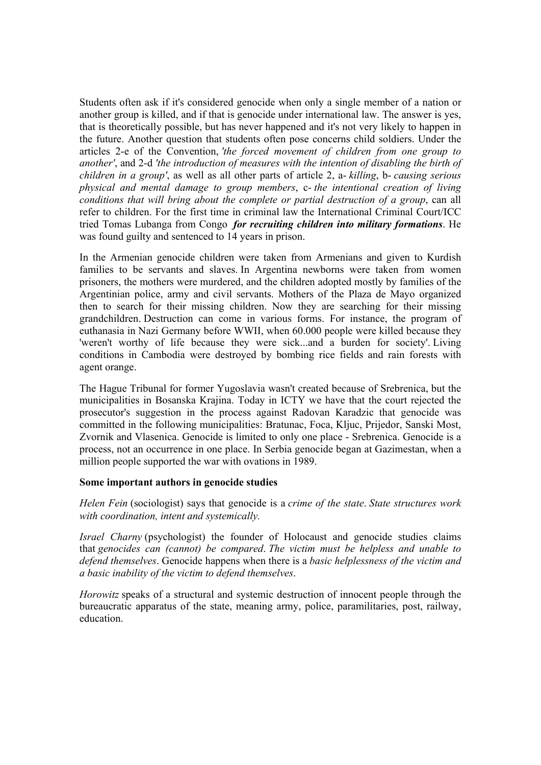Students often ask if it's considered genocide when only a single member of a nation or another group is killed, and if that is genocide under international law. The answer is yes, that is theoretically possible, but has never happened and it's not very likely to happen in the future. Another question that students often pose concerns child soldiers. Under the articles 2-e of the Convention, *'the forced movement of children from one group to another'*, and 2-d *'the introduction of measures with the intention of disabling the birth of children in a group'*, as well as all other parts of article 2, a- *killing*, b- *causing serious physical and mental damage to group members*, c- *the intentional creation of living conditions that will bring about the complete or partial destruction of a group*, can all refer to children. For the first time in criminal law the International Criminal Court/ICC tried Tomas Lubanga from Congo *for recruiting children into military formations*. He was found guilty and sentenced to 14 years in prison.

In the Armenian genocide children were taken from Armenians and given to Kurdish families to be servants and slaves. In Argentina newborns were taken from women prisoners, the mothers were murdered, and the children adopted mostly by families of the Argentinian police, army and civil servants. Mothers of the Plaza de Mayo organized then to search for their missing children. Now they are searching for their missing grandchildren. Destruction can come in various forms. For instance, the program of euthanasia in Nazi Germany before WWII, when 60.000 people were killed because they 'weren't worthy of life because they were sick...and a burden for society'. Living conditions in Cambodia were destroyed by bombing rice fields and rain forests with agent orange.

The Hague Tribunal for former Yugoslavia wasn't created because of Srebrenica, but the municipalities in Bosanska Krajina. Today in ICTY we have that the court rejected the prosecutor's suggestion in the process against Radovan Karadzic that genocide was committed in the following municipalities: Bratunac, Foca, Kljuc, Prijedor, Sanski Most, Zvornik and Vlasenica. Genocide is limited to only one place - Srebrenica. Genocide is a process, not an occurrence in one place. In Serbia genocide began at Gazimestan, when a million people supported the war with ovations in 1989.

#### **Some important authors in genocide studies**

*Helen Fein* (sociologist) says that genocide is a *crime of the state*. *State structures work with coordination, intent and systemically.*

*Israel Charny* (psychologist) the founder of Holocaust and genocide studies claims that *genocides can (cannot) be compared*. *The victim must be helpless and unable to defend themselves*. Genocide happens when there is a *basic helplessness of the victim and a basic inability of the victim to defend themselves*.

*Horowitz* speaks of a structural and systemic destruction of innocent people through the bureaucratic apparatus of the state, meaning army, police, paramilitaries, post, railway, education.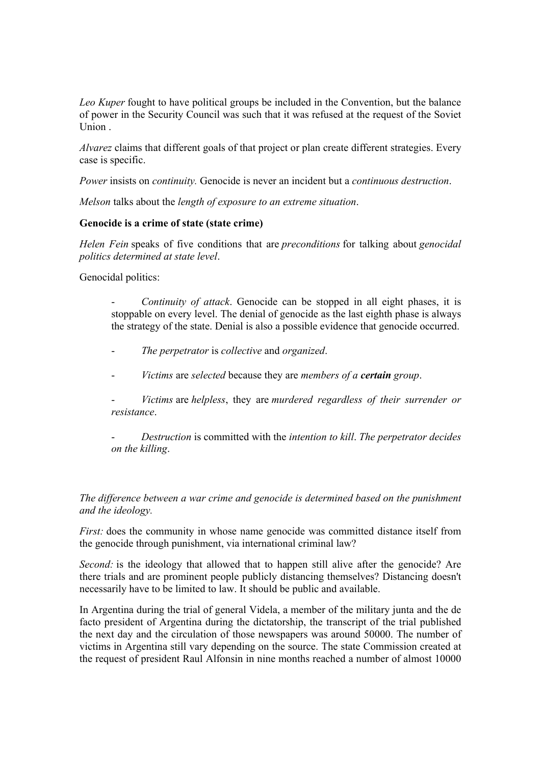*Leo Kuper* fought to have political groups be included in the Convention, but the balance of power in the Security Council was such that it was refused at the request of the Soviet  $Union$ 

*Alvarez* claims that different goals of that project or plan create different strategies. Every case is specific.

*Power* insists on *continuity.* Genocide is never an incident but a *continuous destruction*.

*Melson* talks about the *length of exposure to an extreme situation*.

# **Genocide is a crime of state (state crime)**

*Helen Fein* speaks of five conditions that are *preconditions* for talking about *genocidal politics determined at state level*.

Genocidal politics:

- *Continuity of attack*. Genocide can be stopped in all eight phases, it is stoppable on every level. The denial of genocide as the last eighth phase is always the strategy of the state. Denial is also a possible evidence that genocide occurred.

- *The perpetrator* is *collective* and *organized*.
- *Victims* are *selected* because they are *members of a certain group*.

- *Victims* are *helpless*, they are *murdered regardless of their surrender or resistance*.

- *Destruction* is committed with the *intention to kill*. *The perpetrator decides on the killing*.

*The difference between a war crime and genocide is determined based on the punishment and the ideology.*

*First:* does the community in whose name genocide was committed distance itself from the genocide through punishment, via international criminal law?

*Second:* is the ideology that allowed that to happen still alive after the genocide? Are there trials and are prominent people publicly distancing themselves? Distancing doesn't necessarily have to be limited to law. It should be public and available.

In Argentina during the trial of general Videla, a member of the military junta and the de facto president of Argentina during the dictatorship, the transcript of the trial published the next day and the circulation of those newspapers was around 50000. The number of victims in Argentina still vary depending on the source. The state Commission created at the request of president Raul Alfonsin in nine months reached a number of almost 10000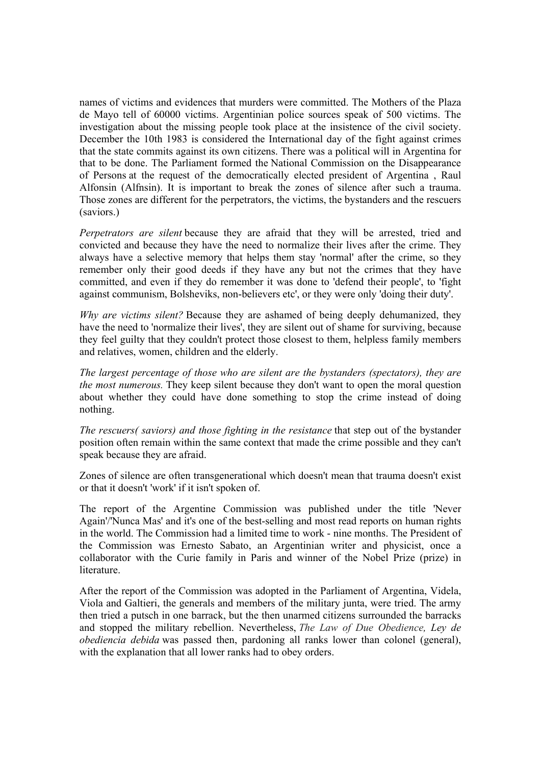names of victims and evidences that murders were committed. The Mothers of the Plaza de Mayo tell of 60000 victims. Argentinian police sources speak of 500 victims. The investigation about the missing people took place at the insistence of the civil society. December the 10th 1983 is considered the International day of the fight against crimes that the state commits against its own citizens. There was a political will in Argentina for that to be done. The Parliament formed the National Commission on the Disappearance of Persons at the request of the democratically elected president of Argentina , Raul Alfonsin (Alfnsin). It is important to break the zones of silence after such a trauma. Those zones are different for the perpetrators, the victims, the bystanders and the rescuers (saviors.)

*Perpetrators are silent* because they are afraid that they will be arrested, tried and convicted and because they have the need to normalize their lives after the crime. They always have a selective memory that helps them stay 'normal' after the crime, so they remember only their good deeds if they have any but not the crimes that they have committed, and even if they do remember it was done to 'defend their people', to 'fight against communism, Bolsheviks, non-believers etc', or they were only 'doing their duty'.

*Why are victims silent?* Because they are ashamed of being deeply dehumanized, they have the need to 'normalize their lives', they are silent out of shame for surviving, because they feel guilty that they couldn't protect those closest to them, helpless family members and relatives, women, children and the elderly.

*The largest percentage of those who are silent are the bystanders (spectators), they are the most numerous.* They keep silent because they don't want to open the moral question about whether they could have done something to stop the crime instead of doing nothing.

*The rescuers( saviors) and those fighting in the resistance* that step out of the bystander position often remain within the same context that made the crime possible and they can't speak because they are afraid.

Zones of silence are often transgenerational which doesn't mean that trauma doesn't exist or that it doesn't 'work' if it isn't spoken of.

The report of the Argentine Commission was published under the title 'Never Again'/'Nunca Mas' and it's one of the best-selling and most read reports on human rights in the world. The Commission had a limited time to work - nine months. The President of the Commission was Ernesto Sabato, an Argentinian writer and physicist, once a collaborator with the Curie family in Paris and winner of the Nobel Prize (prize) in literature.

After the report of the Commission was adopted in the Parliament of Argentina, Videla, Viola and Galtieri, the generals and members of the military junta, were tried. The army then tried a putsch in one barrack, but the then unarmed citizens surrounded the barracks and stopped the military rebellion. Nevertheless, *The Law of Due Obedience, Ley de obediencia debida* was passed then, pardoning all ranks lower than colonel (general), with the explanation that all lower ranks had to obey orders.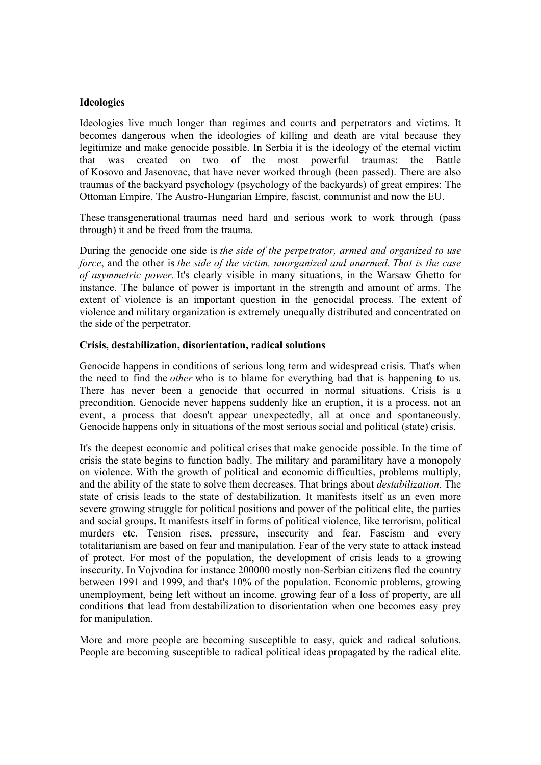### **Ideologies**

Ideologies live much longer than regimes and courts and perpetrators and victims. It becomes dangerous when the ideologies of killing and death are vital because they legitimize and make genocide possible. In Serbia it is the ideology of the eternal victim that was created on two of the most powerful traumas: the Battle of Kosovo and Jasenovac, that have never worked through (been passed). There are also traumas of the backyard psychology (psychology of the backyards) of great empires: The Ottoman Empire, The Austro-Hungarian Empire, fascist, communist and now the EU.

These transgenerational traumas need hard and serious work to work through (pass through) it and be freed from the trauma.

During the genocide one side is *the side of the perpetrator, armed and organized to use force*, and the other is *the side of the victim, unorganized and unarmed*. *That is the case of asymmetric power.* It's clearly visible in many situations, in the Warsaw Ghetto for instance. The balance of power is important in the strength and amount of arms. The extent of violence is an important question in the genocidal process. The extent of violence and military organization is extremely unequally distributed and concentrated on the side of the perpetrator.

#### **Crisis, destabilization, disorientation, radical solutions**

Genocide happens in conditions of serious long term and widespread crisis. That's when the need to find the *other* who is to blame for everything bad that is happening to us. There has never been a genocide that occurred in normal situations. Crisis is a precondition. Genocide never happens suddenly like an eruption, it is a process, not an event, a process that doesn't appear unexpectedly, all at once and spontaneously. Genocide happens only in situations of the most serious social and political (state) crisis.

It's the deepest economic and political crises that make genocide possible. In the time of crisis the state begins to function badly. The military and paramilitary have a monopoly on violence. With the growth of political and economic difficulties, problems multiply, and the ability of the state to solve them decreases. That brings about *destabilization*. The state of crisis leads to the state of destabilization. It manifests itself as an even more severe growing struggle for political positions and power of the political elite, the parties and social groups. It manifests itself in forms of political violence, like terrorism, political murders etc. Tension rises, pressure, insecurity and fear. Fascism and every totalitarianism are based on fear and manipulation. Fear of the very state to attack instead of protect. For most of the population, the development of crisis leads to a growing insecurity. In Vojvodina for instance 200000 mostly non-Serbian citizens fled the country between 1991 and 1999, and that's 10% of the population. Economic problems, growing unemployment, being left without an income, growing fear of a loss of property, are all conditions that lead from destabilization to disorientation when one becomes easy prey for manipulation.

More and more people are becoming susceptible to easy, quick and radical solutions. People are becoming susceptible to radical political ideas propagated by the radical elite.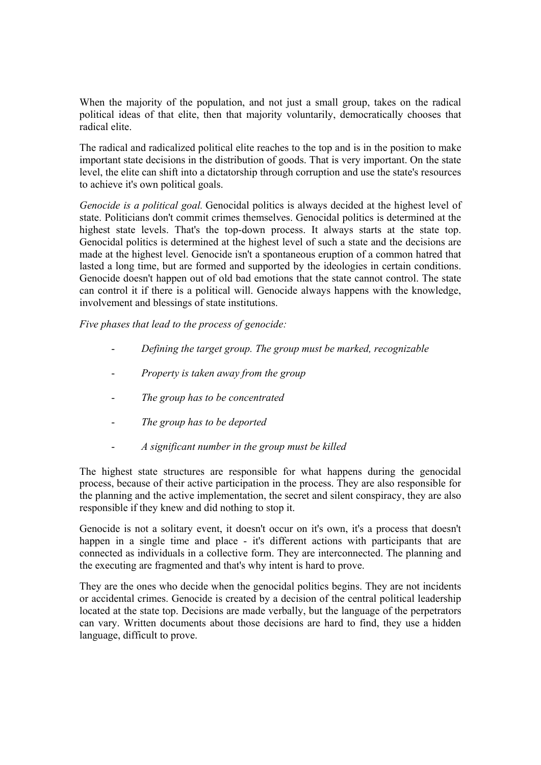When the majority of the population, and not just a small group, takes on the radical political ideas of that elite, then that majority voluntarily, democratically chooses that radical elite.

The radical and radicalized political elite reaches to the top and is in the position to make important state decisions in the distribution of goods. That is very important. On the state level, the elite can shift into a dictatorship through corruption and use the state's resources to achieve it's own political goals.

*Genocide is a political goal.* Genocidal politics is always decided at the highest level of state. Politicians don't commit crimes themselves. Genocidal politics is determined at the highest state levels. That's the top-down process. It always starts at the state top. Genocidal politics is determined at the highest level of such a state and the decisions are made at the highest level. Genocide isn't a spontaneous eruption of a common hatred that lasted a long time, but are formed and supported by the ideologies in certain conditions. Genocide doesn't happen out of old bad emotions that the state cannot control. The state can control it if there is a political will. Genocide always happens with the knowledge, involvement and blessings of state institutions.

*Five phases that lead to the process of genocide:*

- *Defining the target group. The group must be marked, recognizable*
- *Property is taken away from the group*
- *The group has to be concentrated*
- The group has to be deported
- *A significant number in the group must be killed*

The highest state structures are responsible for what happens during the genocidal process, because of their active participation in the process. They are also responsible for the planning and the active implementation, the secret and silent conspiracy, they are also responsible if they knew and did nothing to stop it.

Genocide is not a solitary event, it doesn't occur on it's own, it's a process that doesn't happen in a single time and place - it's different actions with participants that are connected as individuals in a collective form. They are interconnected. The planning and the executing are fragmented and that's why intent is hard to prove.

They are the ones who decide when the genocidal politics begins. They are not incidents or accidental crimes. Genocide is created by a decision of the central political leadership located at the state top. Decisions are made verbally, but the language of the perpetrators can vary. Written documents about those decisions are hard to find, they use a hidden language, difficult to prove.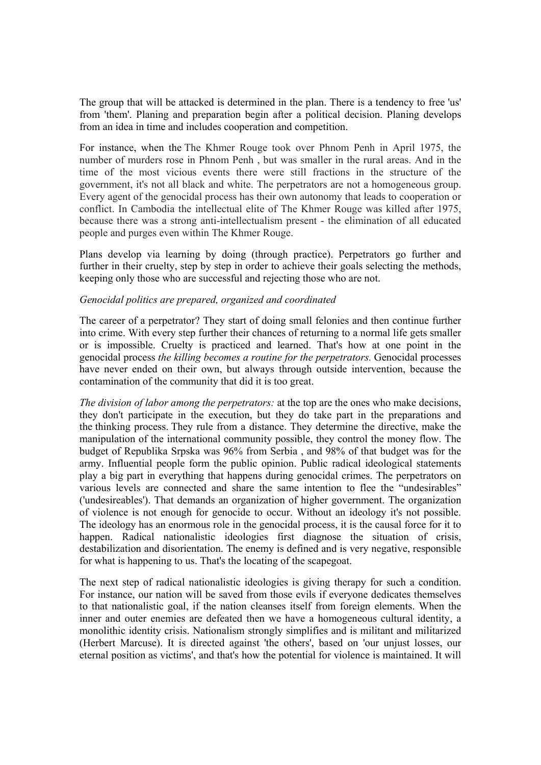The group that will be attacked is determined in the plan. There is a tendency to free 'us' from 'them'. Planing and preparation begin after a political decision. Planing develops from an idea in time and includes cooperation and competition.

For instance, when the The Khmer Rouge took over Phnom Penh in April 1975, the number of murders rose in Phnom Penh , but was smaller in the rural areas. And in the time of the most vicious events there were still fractions in the structure of the government, it's not all black and white. The perpetrators are not a homogeneous group. Every agent of the genocidal process has their own autonomy that leads to cooperation or conflict. In Cambodia the intellectual elite of The Khmer Rouge was killed after 1975, because there was a strong anti-intellectualism present - the elimination of all educated people and purges even within The Khmer Rouge.

Plans develop via learning by doing (through practice). Perpetrators go further and further in their cruelty, step by step in order to achieve their goals selecting the methods, keeping only those who are successful and rejecting those who are not.

### *Genocidal politics are prepared, organized and coordinated*

The career of a perpetrator? They start of doing small felonies and then continue further into crime. With every step further their chances of returning to a normal life gets smaller or is impossible. Cruelty is practiced and learned. That's how at one point in the genocidal process *the killing becomes a routine for the perpetrators.* Genocidal processes have never ended on their own, but always through outside intervention, because the contamination of the community that did it is too great.

*The division of labor among the perpetrators:* at the top are the ones who make decisions, they don't participate in the execution, but they do take part in the preparations and the thinking process. They rule from a distance. They determine the directive, make the manipulation of the international community possible, they control the money flow. The budget of Republika Srpska was 96% from Serbia , and 98% of that budget was for the army. Influential people form the public opinion. Public radical ideological statements play a big part in everything that happens during genocidal crimes. The perpetrators on various levels are connected and share the same intention to flee the "undesirables" ('undesireables'). That demands an organization of higher government. The organization of violence is not enough for genocide to occur. Without an ideology it's not possible. The ideology has an enormous role in the genocidal process, it is the causal force for it to happen. Radical nationalistic ideologies first diagnose the situation of crisis, destabilization and disorientation. The enemy is defined and is very negative, responsible for what is happening to us. That's the locating of the scapegoat.

The next step of radical nationalistic ideologies is giving therapy for such a condition. For instance, our nation will be saved from those evils if everyone dedicates themselves to that nationalistic goal, if the nation cleanses itself from foreign elements. When the inner and outer enemies are defeated then we have a homogeneous cultural identity, a monolithic identity crisis. Nationalism strongly simplifies and is militant and militarized (Herbert Marcuse). It is directed against 'the others', based on 'our unjust losses, our eternal position as victims', and that's how the potential for violence is maintained. It will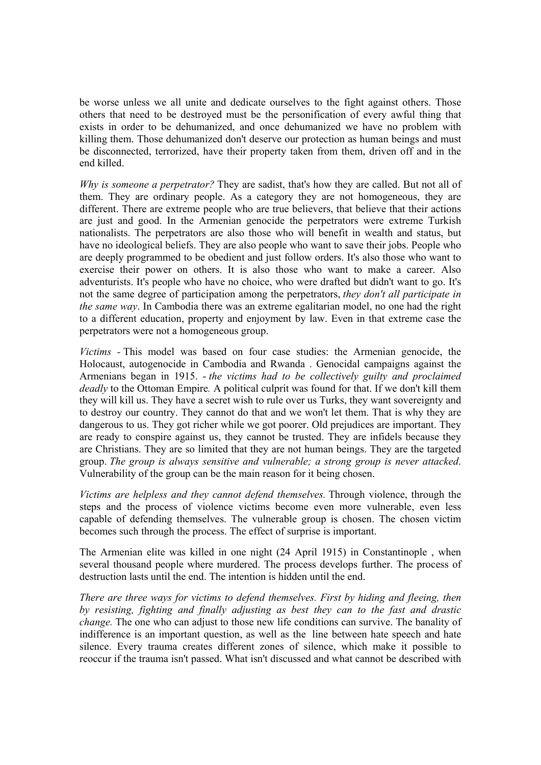be worse unless we all unite and dedicate ourselves to the fight against others. Those others that need to be destroyed must be the personification of every awful thing that exists in order to be dehumanized, and once dehumanized we have no problem with killing them. Those dehumanized don't deserve our protection as human beings and must be disconnected, terrorized, have their property taken from them, driven off and in the end killed.

*Why is someone a perpetrator?* They are sadist, that's how they are called. But not all of them. They are ordinary people. As a category they are not homogeneous, they are different. There are extreme people who are true believers, that believe that their actions are just and good. In the Armenian genocide the perpetrators were extreme Turkish nationalists. The perpetrators are also those who will benefit in wealth and status, but have no ideological beliefs. They are also people who want to save their jobs. People who are deeply programmed to be obedient and just follow orders. It's also those who want to exercise their power on others. It is also those who want to make a career. Also adventurists. It's people who have no choice, who were drafted but didn't want to go. It's not the same degree of participation among the perpetrators, *they don't all participate in the same way*. In Cambodia there was an extreme egalitarian model, no one had the right to a different education, property and enjoyment by law. Even in that extreme case the perpetrators were not a homogeneous group.

*Victims -* This model was based on four case studies: the Armenian genocide, the Holocaust, autogenocide in Cambodia and Rwanda . Genocidal campaigns against the Armenians began in 1915. - *the victims had to be collectively guilty and proclaimed deadly* to the Ottoman Empire*.* A political culprit was found for that. If we don't kill them they will kill us. They have a secret wish to rule over us Turks, they want sovereignty and to destroy our country. They cannot do that and we won't let them. That is why they are dangerous to us. They got richer while we got poorer. Old prejudices are important. They are ready to conspire against us, they cannot be trusted. They are infidels because they are Christians. They are so limited that they are not human beings. They are the targeted group. *The group is always sensitive and vulnerable; a strong group is never attacked*. Vulnerability of the group can be the main reason for it being chosen.

*Victims are helpless and they cannot defend themselves.* Through violence, through the steps and the process of violence victims become even more vulnerable, even less capable of defending themselves. The vulnerable group is chosen. The chosen victim becomes such through the process. The effect of surprise is important.

The Armenian elite was killed in one night (24 April 1915) in Constantinople , when several thousand people where murdered. The process develops further. The process of destruction lasts until the end. The intention is hidden until the end.

*There are three ways for victims to defend themselves. First by hiding and fleeing, then by resisting, fighting and finally adjusting as best they can to the fast and drastic change.* The one who can adjust to those new life conditions can survive. The banality of indifference is an important question, as well as the line between hate speech and hate silence. Every trauma creates different zones of silence, which make it possible to reoccur if the trauma isn't passed. What isn't discussed and what cannot be described with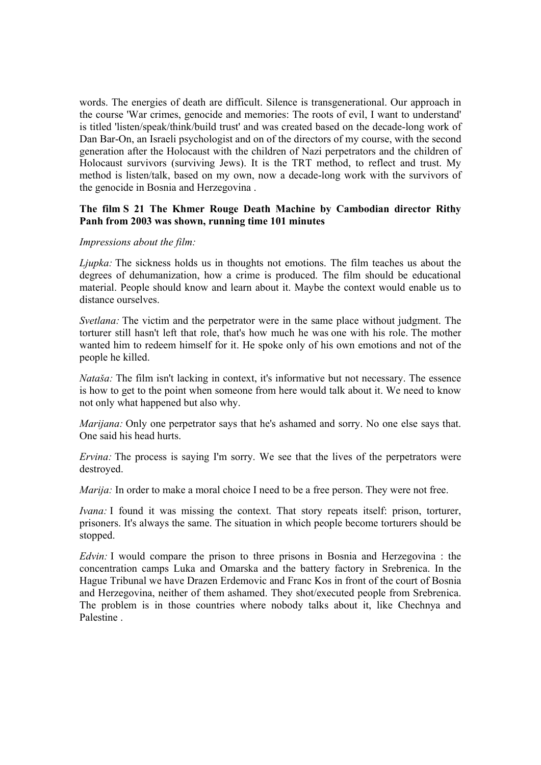words. The energies of death are difficult. Silence is transgenerational. Our approach in the course 'War crimes, genocide and memories: The roots of evil, I want to understand' is titled 'listen/speak/think/build trust' and was created based on the decade-long work of Dan Bar-On, an Israeli psychologist and on of the directors of my course, with the second generation after the Holocaust with the children of Nazi perpetrators and the children of Holocaust survivors (surviving Jews). It is the TRT method, to reflect and trust. My method is listen/talk, based on my own, now a decade-long work with the survivors of the genocide in Bosnia and Herzegovina .

### **The film S 21 The Khmer Rouge Death Machine by Cambodian director Rithy Panh from 2003 was shown, running time 101 minutes**

### *Impressions about the film:*

*Ljupka:* The sickness holds us in thoughts not emotions. The film teaches us about the degrees of dehumanization, how a crime is produced. The film should be educational material. People should know and learn about it. Maybe the context would enable us to distance ourselves.

*Svetlana:* The victim and the perpetrator were in the same place without judgment. The torturer still hasn't left that role, that's how much he was one with his role. The mother wanted him to redeem himself for it. He spoke only of his own emotions and not of the people he killed.

*Nataša:* The film isn't lacking in context, it's informative but not necessary. The essence is how to get to the point when someone from here would talk about it. We need to know not only what happened but also why.

*Marijana:* Only one perpetrator says that he's ashamed and sorry. No one else says that. One said his head hurts.

*Ervina:* The process is saying I'm sorry. We see that the lives of the perpetrators were destroyed.

*Marija:* In order to make a moral choice I need to be a free person. They were not free.

*Ivana:* I found it was missing the context. That story repeats itself: prison, torturer, prisoners. It's always the same. The situation in which people become torturers should be stopped.

*Edvin:* I would compare the prison to three prisons in Bosnia and Herzegovina : the concentration camps Luka and Omarska and the battery factory in Srebrenica. In the Hague Tribunal we have Drazen Erdemovic and Franc Kos in front of the court of Bosnia and Herzegovina, neither of them ashamed. They shot/executed people from Srebrenica. The problem is in those countries where nobody talks about it, like Chechnya and Palestine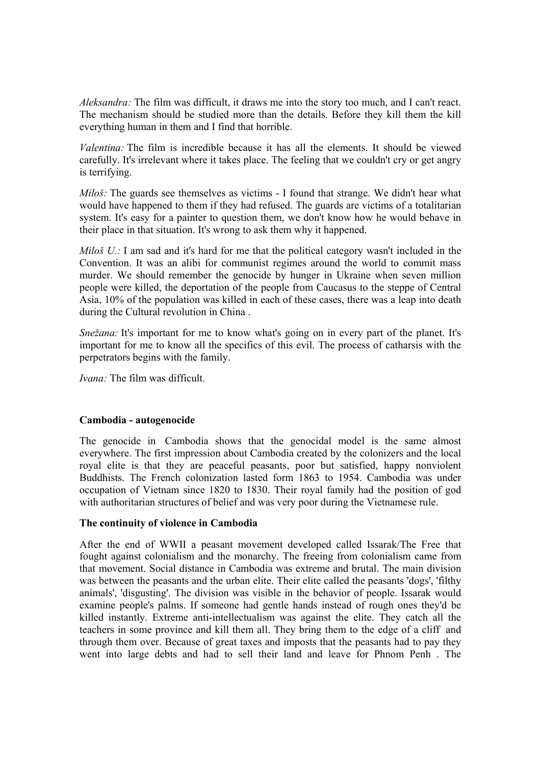*Aleksandra:* The film was difficult, it draws me into the story too much, and I can't react. The mechanism should be studied more than the details. Before they kill them the kill everything human in them and I find that horrible.

*Valentina:* The film is incredible because it has all the elements. It should be viewed carefully. It's irrelevant where it takes place. The feeling that we couldn't cry or get angry is terrifying.

*Miloš:* The guards see themselves as victims - I found that strange. We didn't hear what would have happened to them if they had refused. The guards are victims of a totalitarian system. It's easy for a painter to question them, we don't know how he would behave in their place in that situation. It's wrong to ask them why it happened.

*Miloš U.:* I am sad and it's hard for me that the political category wasn't included in the Convention. It was an alibi for communist regimes around the world to commit mass murder. We should remember the genocide by hunger in Ukraine when seven million people were killed, the deportation of the people from Caucasus to the steppe of Central Asia, 10% of the population was killed in each of these cases, there was a leap into death during the Cultural revolution in China .

*Snežana:* It's important for me to know what's going on in every part of the planet. It's important for me to know all the specifics of this evil. The process of catharsis with the perpetrators begins with the family.

*Ivana:* The film was difficult.

## **Cambodia - autogenocide**

The genocide in Cambodia shows that the genocidal model is the same almost everywhere. The first impression about Cambodia created by the colonizers and the local royal elite is that they are peaceful peasants, poor but satisfied, happy nonviolent Buddhists. The French colonization lasted form 1863 to 1954. Cambodia was under occupation of Vietnam since 1820 to 1830. Their royal family had the position of god with authoritarian structures of belief and was very poor during the Vietnamese rule.

## **The continuity of violence in Cambodia**

After the end of WWII a peasant movement developed called Issarak/The Free that fought against colonialism and the monarchy. The freeing from colonialism came from that movement. Social distance in Cambodia was extreme and brutal. The main division was between the peasants and the urban elite. Their elite called the peasants 'dogs', 'filthy animals', 'disgusting'. The division was visible in the behavior of people. Issarak would examine people's palms. If someone had gentle hands instead of rough ones they'd be killed instantly. Extreme anti-intellectualism was against the elite. They catch all the teachers in some province and kill them all. They bring them to the edge of a cliff and through them over. Because of great taxes and imposts that the peasants had to pay they went into large debts and had to sell their land and leave for Phnom Penh . The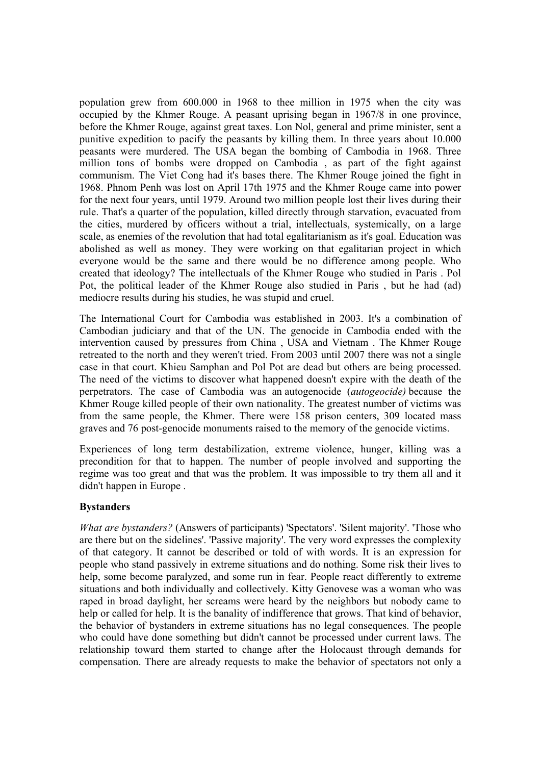population grew from 600.000 in 1968 to thee million in 1975 when the city was occupied by the Khmer Rouge. A peasant uprising began in 1967/8 in one province, before the Khmer Rouge, against great taxes. Lon Nol, general and prime minister, sent a punitive expedition to pacify the peasants by killing them. In three years about 10.000 peasants were murdered. The USA began the bombing of Cambodia in 1968. Three million tons of bombs were dropped on Cambodia , as part of the fight against communism. The Viet Cong had it's bases there. The Khmer Rouge joined the fight in 1968. Phnom Penh was lost on April 17th 1975 and the Khmer Rouge came into power for the next four years, until 1979. Around two million people lost their lives during their rule. That's a quarter of the population, killed directly through starvation, evacuated from the cities, murdered by officers without a trial, intellectuals, systemically, on a large scale, as enemies of the revolution that had total egalitarianism as it's goal. Education was abolished as well as money. They were working on that egalitarian project in which everyone would be the same and there would be no difference among people. Who created that ideology? The intellectuals of the Khmer Rouge who studied in Paris . Pol Pot, the political leader of the Khmer Rouge also studied in Paris , but he had (ad) mediocre results during his studies, he was stupid and cruel.

The International Court for Cambodia was established in 2003. It's a combination of Cambodian judiciary and that of the UN. The genocide in Cambodia ended with the intervention caused by pressures from China , USA and Vietnam . The Khmer Rouge retreated to the north and they weren't tried. From 2003 until 2007 there was not a single case in that court. Khieu Samphan and Pol Pot are dead but others are being processed. The need of the victims to discover what happened doesn't expire with the death of the perpetrators. The case of Cambodia was an autogenocide (*autogeocide)* because the Khmer Rouge killed people of their own nationality. The greatest number of victims was from the same people, the Khmer. There were 158 prison centers, 309 located mass graves and 76 post-genocide monuments raised to the memory of the genocide victims.

Experiences of long term destabilization, extreme violence, hunger, killing was a precondition for that to happen. The number of people involved and supporting the regime was too great and that was the problem. It was impossible to try them all and it didn't happen in Europe .

## **Bystanders**

*What are bystanders?* (Answers of participants) 'Spectators'. 'Silent majority'. 'Those who are there but on the sidelines'. 'Passive majority'. The very word expresses the complexity of that category. It cannot be described or told of with words. It is an expression for people who stand passively in extreme situations and do nothing. Some risk their lives to help, some become paralyzed, and some run in fear. People react differently to extreme situations and both individually and collectively. Kitty Genovese was a woman who was raped in broad daylight, her screams were heard by the neighbors but nobody came to help or called for help. It is the banality of indifference that grows. That kind of behavior, the behavior of bystanders in extreme situations has no legal consequences. The people who could have done something but didn't cannot be processed under current laws. The relationship toward them started to change after the Holocaust through demands for compensation. There are already requests to make the behavior of spectators not only a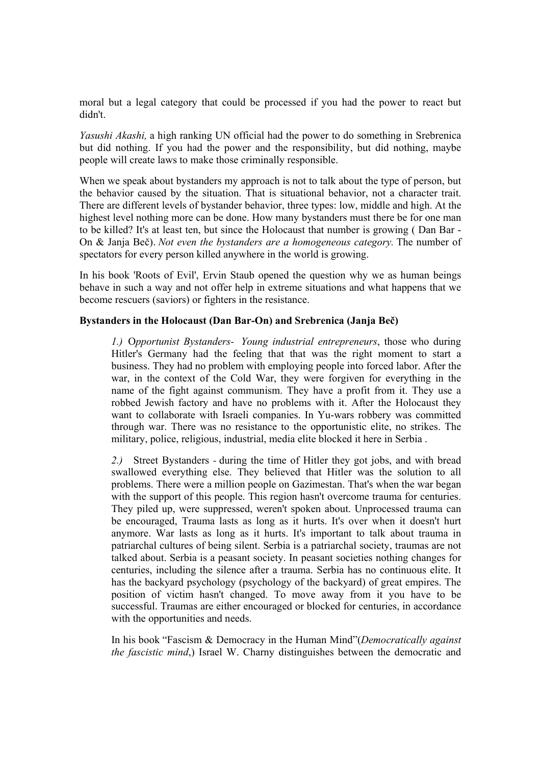moral but a legal category that could be processed if you had the power to react but didn't.

*Yasushi Akashi,* a high ranking UN official had the power to do something in Srebrenica but did nothing. If you had the power and the responsibility, but did nothing, maybe people will create laws to make those criminally responsible.

When we speak about bystanders my approach is not to talk about the type of person, but the behavior caused by the situation. That is situational behavior, not a character trait. There are different levels of bystander behavior, three types: low, middle and high. At the highest level nothing more can be done. How many bystanders must there be for one man to be killed? It's at least ten, but since the Holocaust that number is growing ( Dan Bar - On & Janja Beč). *Not even the bystanders are a homogeneous category.* The number of spectators for every person killed anywhere in the world is growing.

In his book 'Roots of Evil', Ervin Staub opened the question why we as human beings behave in such a way and not offer help in extreme situations and what happens that we become rescuers (saviors) or fighters in the resistance.

### **Bystanders in the Holocaust (Dan Bar-On) and Srebrenica (Janja Beč)**

*1.)* O*pportunist Bystanders- Young industrial entrepreneurs*, those who during Hitler's Germany had the feeling that that was the right moment to start a business. They had no problem with employing people into forced labor. After the war, in the context of the Cold War, they were forgiven for everything in the name of the fight against communism. They have a profit from it. They use a robbed Jewish factory and have no problems with it. After the Holocaust they want to collaborate with Israeli companies. In Yu-wars robbery was committed through war. There was no resistance to the opportunistic elite, no strikes. The military, police, religious, industrial, media elite blocked it here in Serbia .

*2.)* Street Bystanders *-* during the time of Hitler they got jobs, and with bread swallowed everything else. They believed that Hitler was the solution to all problems. There were a million people on Gazimestan. That's when the war began with the support of this people. This region hasn't overcome trauma for centuries. They piled up, were suppressed, weren't spoken about. Unprocessed trauma can be encouraged, Trauma lasts as long as it hurts. It's over when it doesn't hurt anymore. War lasts as long as it hurts. It's important to talk about trauma in patriarchal cultures of being silent. Serbia is a patriarchal society, traumas are not talked about. Serbia is a peasant society. In peasant societies nothing changes for centuries, including the silence after a trauma. Serbia has no continuous elite. It has the backyard psychology (psychology of the backyard) of great empires. The position of victim hasn't changed. To move away from it you have to be successful. Traumas are either encouraged or blocked for centuries, in accordance with the opportunities and needs.

In his book "Fascism & Democracy in the Human Mind"(*Democratically against the fascistic mind*,) Israel W. Charny distinguishes between the democratic and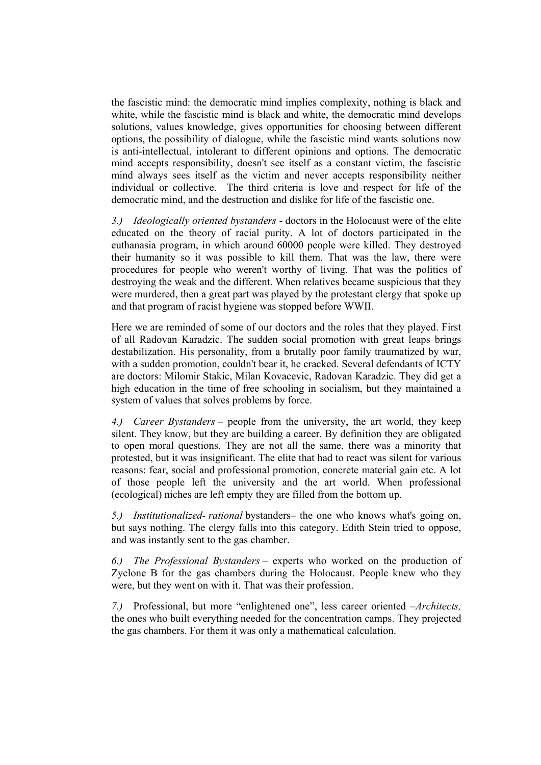the fascistic mind: the democratic mind implies complexity, nothing is black and white, while the fascistic mind is black and white, the democratic mind develops solutions, values knowledge, gives opportunities for choosing between different options, the possibility of dialogue, while the fascistic mind wants solutions now is anti-intellectual, intolerant to different opinions and options. The democratic mind accepts responsibility, doesn't see itself as a constant victim, the fascistic mind always sees itself as the victim and never accepts responsibility neither individual or collective. The third criteria is love and respect for life of the democratic mind, and the destruction and dislike for life of the fascistic one.

*3.) Ideologically oriented bystanders -* doctors in the Holocaust were of the elite educated on the theory of racial purity. A lot of doctors participated in the euthanasia program, in which around 60000 people were killed. They destroyed their humanity so it was possible to kill them. That was the law, there were procedures for people who weren't worthy of living. That was the politics of destroying the weak and the different. When relatives became suspicious that they were murdered, then a great part was played by the protestant clergy that spoke up and that program of racist hygiene was stopped before WWII.

Here we are reminded of some of our doctors and the roles that they played. First of all Radovan Karadzic. The sudden social promotion with great leaps brings destabilization. His personality, from a brutally poor family traumatized by war, with a sudden promotion, couldn't bear it, he cracked. Several defendants of ICTY are doctors: Milomir Stakic, Milan Kovacevic, Radovan Karadzic. They did get a high education in the time of free schooling in socialism, but they maintained a system of values that solves problems by force.

*4.) Career Bystanders* – people from the university, the art world, they keep silent. They know, but they are building a career. By definition they are obligated to open moral questions. They are not all the same, there was a minority that protested, but it was insignificant. The elite that had to react was silent for various reasons: fear, social and professional promotion, concrete material gain etc. A lot of those people left the university and the art world. When professional (ecological) niches are left empty they are filled from the bottom up.

*5.) Institutionalized- rational* bystanders– the one who knows what's going on, but says nothing. The clergy falls into this category. Edith Stein tried to oppose, and was instantly sent to the gas chamber.

*6.) The Professional Bystanders* – experts who worked on the production of Zyclone B for the gas chambers during the Holocaust. People knew who they were, but they went on with it. That was their profession.

*7.)* Professional, but more "enlightened one", less career oriented –*Architects,* the ones who built everything needed for the concentration camps. They projected the gas chambers. For them it was only a mathematical calculation.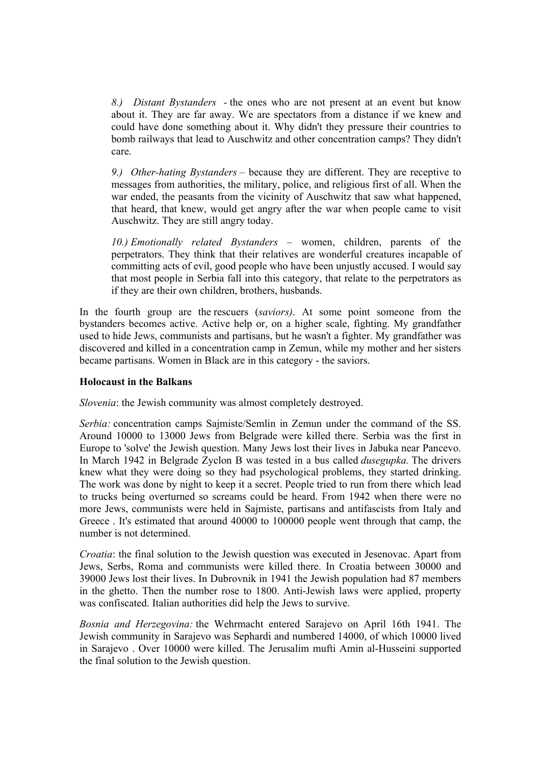*8.) Distant Bystanders -* the ones who are not present at an event but know about it. They are far away. We are spectators from a distance if we knew and could have done something about it. Why didn't they pressure their countries to bomb railways that lead to Auschwitz and other concentration camps? They didn't care.

*9.) Other-hating Bystanders* – because they are different. They are receptive to messages from authorities, the military, police, and religious first of all. When the war ended, the peasants from the vicinity of Auschwitz that saw what happened, that heard, that knew, would get angry after the war when people came to visit Auschwitz. They are still angry today.

*10.) Emotionally related Bystanders –* women, children, parents of the perpetrators. They think that their relatives are wonderful creatures incapable of committing acts of evil, good people who have been unjustly accused. I would say that most people in Serbia fall into this category, that relate to the perpetrators as if they are their own children, brothers, husbands.

In the fourth group are the rescuers (*saviors)*. At some point someone from the bystanders becomes active. Active help or, on a higher scale, fighting. My grandfather used to hide Jews, communists and partisans, but he wasn't a fighter. My grandfather was discovered and killed in a concentration camp in Zemun, while my mother and her sisters became partisans. Women in Black are in this category - the saviors.

#### **Holocaust in the Balkans**

*Slovenia*: the Jewish community was almost completely destroyed.

*Serbia:* concentration camps Sajmiste/Semlin in Zemun under the command of the SS. Around 10000 to 13000 Jews from Belgrade were killed there. Serbia was the first in Europe to 'solve' the Jewish question. Many Jews lost their lives in Jabuka near Pancevo. In March 1942 in Belgrade Zyclon B was tested in a bus called *dusegupka.* The drivers knew what they were doing so they had psychological problems, they started drinking. The work was done by night to keep it a secret. People tried to run from there which lead to trucks being overturned so screams could be heard. From 1942 when there were no more Jews, communists were held in Sajmiste, partisans and antifascists from Italy and Greece . It's estimated that around 40000 to 100000 people went through that camp, the number is not determined.

*Croatia*: the final solution to the Jewish question was executed in Jesenovac. Apart from Jews, Serbs, Roma and communists were killed there. In Croatia between 30000 and 39000 Jews lost their lives. In Dubrovnik in 1941 the Jewish population had 87 members in the ghetto. Then the number rose to 1800. Anti-Jewish laws were applied, property was confiscated. Italian authorities did help the Jews to survive.

*Bosnia and Herzegovina:* the Wehrmacht entered Sarajevo on April 16th 1941. The Jewish community in Sarajevo was Sephardi and numbered 14000, of which 10000 lived in Sarajevo . Over 10000 were killed. The Jerusalim mufti Amin al-Husseini supported the final solution to the Jewish question.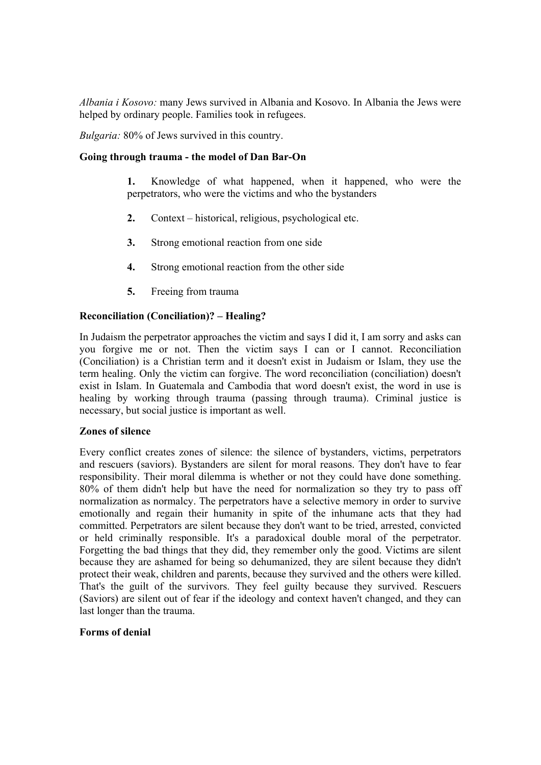*Albania i Kosovo:* many Jews survived in Albania and Kosovo. In Albania the Jews were helped by ordinary people. Families took in refugees.

*Bulgaria:* 80% of Jews survived in this country.

## **Going through trauma - the model of Dan Bar-On**

- **1.** Knowledge of what happened, when it happened, who were the perpetrators, who were the victims and who the bystanders
- **2.** Context historical, religious, psychological etc.
- **3.** Strong emotional reaction from one side
- **4.** Strong emotional reaction from the other side
- **5.** Freeing from trauma

## **Reconciliation (Conciliation)? – Healing?**

In Judaism the perpetrator approaches the victim and says I did it, I am sorry and asks can you forgive me or not. Then the victim says I can or I cannot. Reconciliation (Conciliation) is a Christian term and it doesn't exist in Judaism or Islam, they use the term healing. Only the victim can forgive. The word reconciliation (conciliation) doesn't exist in Islam. In Guatemala and Cambodia that word doesn't exist, the word in use is healing by working through trauma (passing through trauma). Criminal justice is necessary, but social justice is important as well.

#### **Zones of silence**

Every conflict creates zones of silence: the silence of bystanders, victims, perpetrators and rescuers (saviors). Bystanders are silent for moral reasons. They don't have to fear responsibility. Their moral dilemma is whether or not they could have done something. 80% of them didn't help but have the need for normalization so they try to pass off normalization as normalcy. The perpetrators have a selective memory in order to survive emotionally and regain their humanity in spite of the inhumane acts that they had committed. Perpetrators are silent because they don't want to be tried, arrested, convicted or held criminally responsible. It's a paradoxical double moral of the perpetrator. Forgetting the bad things that they did, they remember only the good. Victims are silent because they are ashamed for being so dehumanized, they are silent because they didn't protect their weak, children and parents, because they survived and the others were killed. That's the guilt of the survivors. They feel guilty because they survived. Rescuers (Saviors) are silent out of fear if the ideology and context haven't changed, and they can last longer than the trauma.

#### **Forms of denial**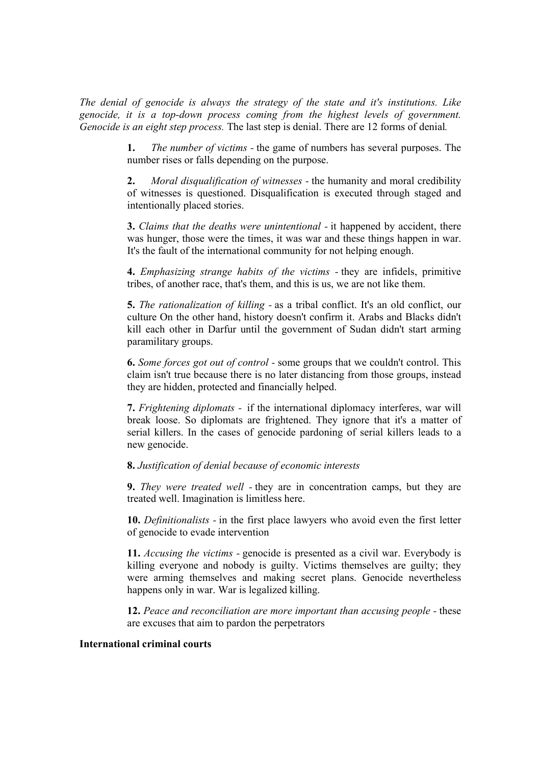*The denial of genocide is always the strategy of the state and it's institutions. Like genocide, it is a top-down process coming from the highest levels of government. Genocide is an eight step process.* The last step is denial. There are 12 forms of denial*.*

> **1.** *The number of victims -* the game of numbers has several purposes. The number rises or falls depending on the purpose.

> **2.** *Moral disqualification of witnesses -* the humanity and moral credibility of witnesses is questioned. Disqualification is executed through staged and intentionally placed stories.

> **3.** *Claims that the deaths were unintentional -* it happened by accident, there was hunger, those were the times, it was war and these things happen in war. It's the fault of the international community for not helping enough.

> **4.** *Emphasizing strange habits of the victims -* they are infidels, primitive tribes, of another race, that's them, and this is us, we are not like them.

> **5.** *The rationalization of killing -* as a tribal conflict. It's an old conflict, our culture On the other hand, history doesn't confirm it. Arabs and Blacks didn't kill each other in Darfur until the government of Sudan didn't start arming paramilitary groups.

> **6.** *Some forces got out of control -* some groups that we couldn't control. This claim isn't true because there is no later distancing from those groups, instead they are hidden, protected and financially helped.

> **7.** *Frightening diplomats -* if the international diplomacy interferes, war will break loose. So diplomats are frightened. They ignore that it's a matter of serial killers. In the cases of genocide pardoning of serial killers leads to a new genocide.

#### **8.** *Justification of denial because of economic interests*

**9.** *They were treated well -* they are in concentration camps, but they are treated well. Imagination is limitless here.

**10.** *Definitionalists -* in the first place lawyers who avoid even the first letter of genocide to evade intervention

**11.** *Accusing the victims -* genocide is presented as a civil war. Everybody is killing everyone and nobody is guilty. Victims themselves are guilty; they were arming themselves and making secret plans. Genocide nevertheless happens only in war. War is legalized killing.

**12.** *Peace and reconciliation are more important than accusing people -* these are excuses that aim to pardon the perpetrators

#### **International criminal courts**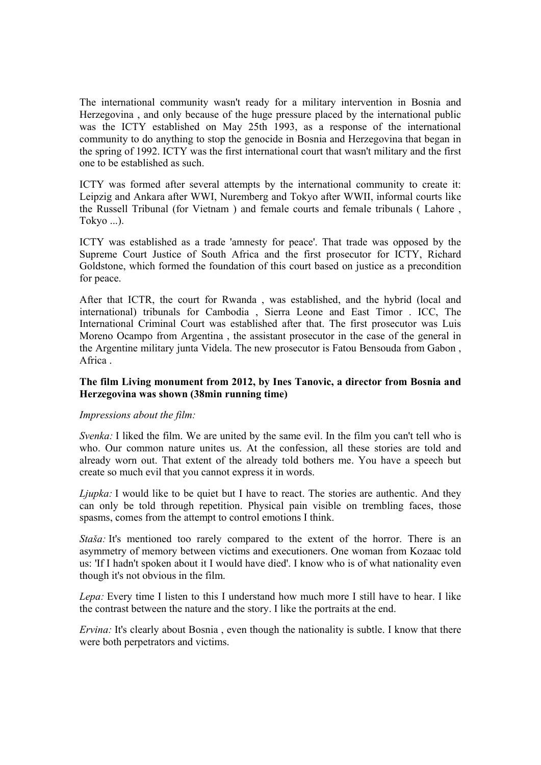The international community wasn't ready for a military intervention in Bosnia and Herzegovina , and only because of the huge pressure placed by the international public was the ICTY established on May 25th 1993, as a response of the international community to do anything to stop the genocide in Bosnia and Herzegovina that began in the spring of 1992. ICTY was the first international court that wasn't military and the first one to be established as such.

ICTY was formed after several attempts by the international community to create it: Leipzig and Ankara after WWI, Nuremberg and Tokyo after WWII, informal courts like the Russell Tribunal (for Vietnam ) and female courts and female tribunals ( Lahore , Tokyo ...).

ICTY was established as a trade 'amnesty for peace'. That trade was opposed by the Supreme Court Justice of South Africa and the first prosecutor for ICTY, Richard Goldstone, which formed the foundation of this court based on justice as a precondition for peace.

After that ICTR, the court for Rwanda , was established, and the hybrid (local and international) tribunals for Cambodia , Sierra Leone and East Timor . ICC, The International Criminal Court was established after that. The first prosecutor was Luis Moreno Ocampo from Argentina , the assistant prosecutor in the case of the general in the Argentine military junta Videla. The new prosecutor is Fatou Bensouda from Gabon , Africa .

## **The film Living monument from 2012, by Ines Tanovic, a director from Bosnia and Herzegovina was shown (38min running time)**

## *Impressions about the film:*

*Svenka:* I liked the film. We are united by the same evil. In the film you can't tell who is who. Our common nature unites us. At the confession, all these stories are told and already worn out. That extent of the already told bothers me. You have a speech but create so much evil that you cannot express it in words.

*Ljupka*: I would like to be quiet but I have to react. The stories are authentic. And they can only be told through repetition. Physical pain visible on trembling faces, those spasms, comes from the attempt to control emotions I think.

*Staša:* It's mentioned too rarely compared to the extent of the horror. There is an asymmetry of memory between victims and executioners. One woman from Kozaac told us: 'If I hadn't spoken about it I would have died'. I know who is of what nationality even though it's not obvious in the film.

*Lepa:* Every time I listen to this I understand how much more I still have to hear. I like the contrast between the nature and the story. I like the portraits at the end.

*Ervina:* It's clearly about Bosnia, even though the nationality is subtle. I know that there were both perpetrators and victims.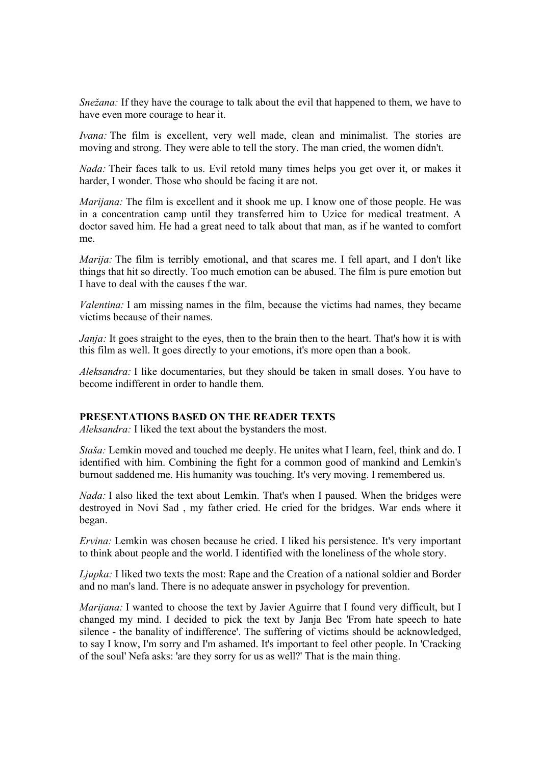*Snežana:* If they have the courage to talk about the evil that happened to them, we have to have even more courage to hear it.

*Ivana:* The film is excellent, very well made, clean and minimalist. The stories are moving and strong. They were able to tell the story. The man cried, the women didn't.

*Nada:* Their faces talk to us. Evil retold many times helps you get over it, or makes it harder, I wonder. Those who should be facing it are not.

*Marijana:* The film is excellent and it shook me up. I know one of those people. He was in a concentration camp until they transferred him to Uzice for medical treatment. A doctor saved him. He had a great need to talk about that man, as if he wanted to comfort me.

*Marija:* The film is terribly emotional, and that scares me. I fell apart, and I don't like things that hit so directly. Too much emotion can be abused. The film is pure emotion but I have to deal with the causes f the war.

*Valentina:* I am missing names in the film, because the victims had names, they became victims because of their names.

*Janja:* It goes straight to the eyes, then to the brain then to the heart. That's how it is with this film as well. It goes directly to your emotions, it's more open than a book.

*Aleksandra:* I like documentaries, but they should be taken in small doses. You have to become indifferent in order to handle them.

# **PRESENTATIONS BASED ON THE READER TEXTS**

*Aleksandra:* I liked the text about the bystanders the most.

*Staša:* Lemkin moved and touched me deeply. He unites what I learn, feel, think and do. I identified with him. Combining the fight for a common good of mankind and Lemkin's burnout saddened me. His humanity was touching. It's very moving. I remembered us.

*Nada:* I also liked the text about Lemkin. That's when I paused. When the bridges were destroyed in Novi Sad , my father cried. He cried for the bridges. War ends where it began.

*Ervina:* Lemkin was chosen because he cried. I liked his persistence. It's very important to think about people and the world. I identified with the loneliness of the whole story.

*Ljupka:* I liked two texts the most: Rape and the Creation of a national soldier and Border and no man's land. There is no adequate answer in psychology for prevention.

*Marijana:* I wanted to choose the text by Javier Aguirre that I found very difficult, but I changed my mind. I decided to pick the text by Janja Bec 'From hate speech to hate silence - the banality of indifference'. The suffering of victims should be acknowledged, to say I know, I'm sorry and I'm ashamed. It's important to feel other people. In 'Cracking of the soul' Nefa asks: 'are they sorry for us as well?' That is the main thing.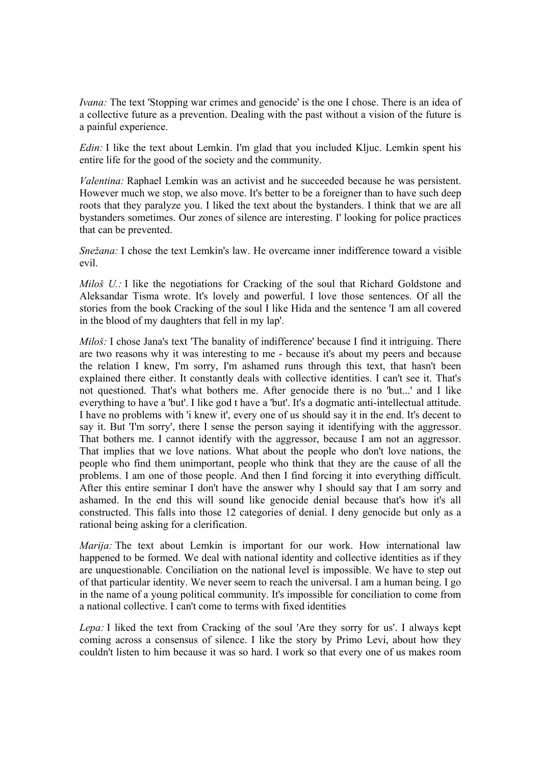*Ivana:* The text 'Stopping war crimes and genocide' is the one I chose. There is an idea of a collective future as a prevention. Dealing with the past without a vision of the future is a painful experience.

*Edin:* I like the text about Lemkin. I'm glad that you included Kljuc. Lemkin spent his entire life for the good of the society and the community.

*Valentina:* Raphael Lemkin was an activist and he succeeded because he was persistent. However much we stop, we also move. It's better to be a foreigner than to have such deep roots that they paralyze you. I liked the text about the bystanders. I think that we are all bystanders sometimes. Our zones of silence are interesting. I' looking for police practices that can be prevented.

*Snežana:* I chose the text Lemkin's law. He overcame inner indifference toward a visible evil.

*Miloš U.:* I like the negotiations for Cracking of the soul that Richard Goldstone and Aleksandar Tisma wrote. It's lovely and powerful. I love those sentences. Of all the stories from the book Cracking of the soul I like Hida and the sentence 'I am all covered in the blood of my daughters that fell in my lap'.

*Miloš:* I chose Jana's text 'The banality of indifference' because I find it intriguing. There are two reasons why it was interesting to me - because it's about my peers and because the relation I knew, I'm sorry, I'm ashamed runs through this text, that hasn't been explained there either. It constantly deals with collective identities. I can't see it. That's not questioned. That's what bothers me. After genocide there is no 'but...' and I like everything to have a 'but'. I like god t have a 'but'. It's a dogmatic anti-intellectual attitude. I have no problems with 'i knew it', every one of us should say it in the end. It's decent to say it. But 'I'm sorry', there I sense the person saying it identifying with the aggressor. That bothers me. I cannot identify with the aggressor, because I am not an aggressor. That implies that we love nations. What about the people who don't love nations, the people who find them unimportant, people who think that they are the cause of all the problems. I am one of those people. And then I find forcing it into everything difficult. After this entire seminar I don't have the answer why I should say that I am sorry and ashamed. In the end this will sound like genocide denial because that's how it's all constructed. This falls into those 12 categories of denial. I deny genocide but only as a rational being asking for a clerification.

*Marija:* The text about Lemkin is important for our work. How international law happened to be formed. We deal with national identity and collective identities as if they are unquestionable. Conciliation on the national level is impossible. We have to step out of that particular identity. We never seem to reach the universal. I am a human being. I go in the name of a young political community. It's impossible for conciliation to come from a national collective. I can't come to terms with fixed identities

*Lepa:* I liked the text from Cracking of the soul 'Are they sorry for us'. I always kept coming across a consensus of silence. I like the story by Primo Levi, about how they couldn't listen to him because it was so hard. I work so that every one of us makes room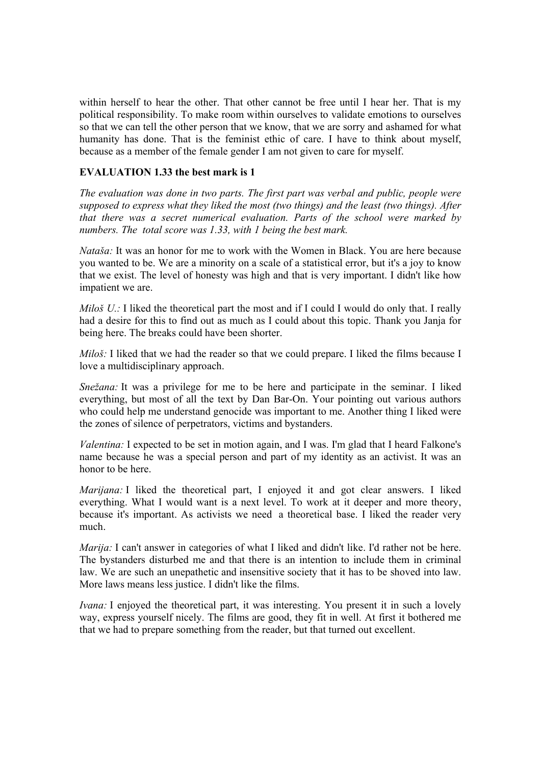within herself to hear the other. That other cannot be free until I hear her. That is my political responsibility. To make room within ourselves to validate emotions to ourselves so that we can tell the other person that we know, that we are sorry and ashamed for what humanity has done. That is the feminist ethic of care. I have to think about myself, because as a member of the female gender I am not given to care for myself.

## **EVALUATION 1.33 the best mark is 1**

*The evaluation was done in two parts. The first part was verbal and public, people were supposed to express what they liked the most (two things) and the least (two things). After that there was a secret numerical evaluation. Parts of the school were marked by numbers. The total score was 1.33, with 1 being the best mark.*

*Nataša:* It was an honor for me to work with the Women in Black. You are here because you wanted to be. We are a minority on a scale of a statistical error, but it's a joy to know that we exist. The level of honesty was high and that is very important. I didn't like how impatient we are.

*Miloš U.:* I liked the theoretical part the most and if I could I would do only that. I really had a desire for this to find out as much as I could about this topic. Thank you Janja for being here. The breaks could have been shorter.

*Miloš*: I liked that we had the reader so that we could prepare. I liked the films because I love a multidisciplinary approach.

*Snežana:* It was a privilege for me to be here and participate in the seminar. I liked everything, but most of all the text by Dan Bar-On. Your pointing out various authors who could help me understand genocide was important to me. Another thing I liked were the zones of silence of perpetrators, victims and bystanders.

*Valentina:* I expected to be set in motion again, and I was. I'm glad that I heard Falkone's name because he was a special person and part of my identity as an activist. It was an honor to be here.

*Marijana:* I liked the theoretical part, I enjoyed it and got clear answers. I liked everything. What I would want is a next level. To work at it deeper and more theory, because it's important. As activists we need a theoretical base. I liked the reader very much.

*Marija:* I can't answer in categories of what I liked and didn't like. I'd rather not be here. The bystanders disturbed me and that there is an intention to include them in criminal law. We are such an unepathetic and insensitive society that it has to be shoved into law. More laws means less justice. I didn't like the films.

*Ivana:* I enjoyed the theoretical part, it was interesting. You present it in such a lovely way, express yourself nicely. The films are good, they fit in well. At first it bothered me that we had to prepare something from the reader, but that turned out excellent.